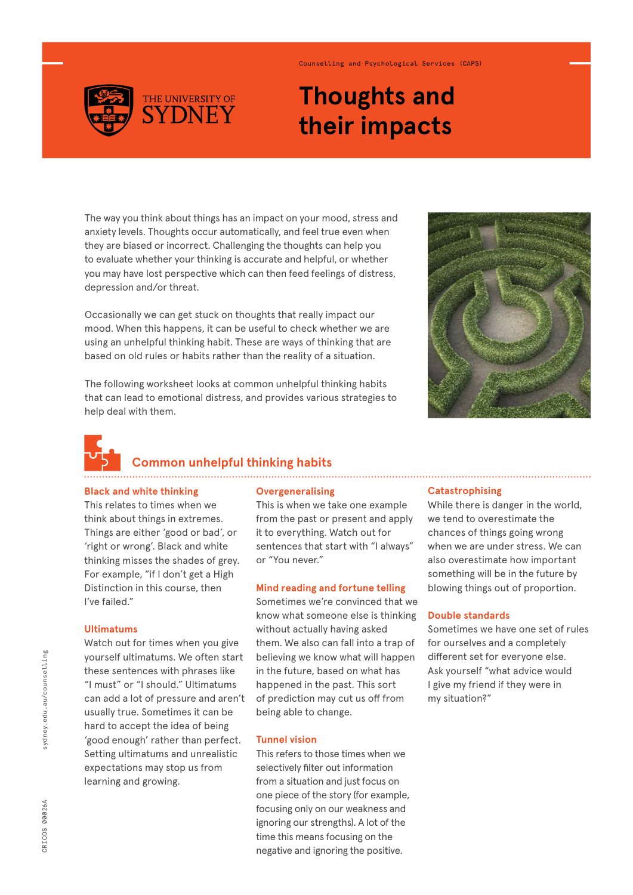

## Counselling and Psychological Services (CAPS)

# **Thoughts and their impacts**

The way you think about things has an impact on your mood, stress and anxiety levels. Thoughts occur automatically, and feel true even when they are biased or incorrect. Challenging the thoughts can help you to evaluate whether your thinking is accurate and helpful, or whether you may have lost perspective which can then feed feelings of distress, depression and/or threat.

Occasionally we can get stuck on thoughts that really impact our mood. When this happens, it can be useful to check whether we are using an unhelpful thinking habit. These are ways of thinking that are based on old rules or habits rather than the reality of a situation.

The following worksheet looks at common unhelpful thinking habits that can lead to emotional distress, and provides various strategies to help deal with them.





 **Common unhelpful thinking habits** 

#### **Black and white thinking**

This relates to times when we think about things in extremes. Things are either 'good or bad', or 'right or wrong'. Black and white thinking misses the shades of grey. For example, "if I don't get a High Distinction in this course, then I've failed."

## **Ultimatums**

Watch out for times when you give yourself ultimatums. We often start these sentences with phrases like "I must" or "I should." Ultimatums can add a lot of pressure and aren't usually true. Sometimes it can be hard to accept the idea of being 'good enough' rather than perfect. Setting ultimatums and unrealistic expectations may stop us from learning and growing.

#### **Overgeneralising**

This is when we take one example from the past or present and apply it to everything. Watch out for sentences that start with "I always" or "You never."

### **Mind reading and fortune telling**

Sometimes we're convinced that we know what someone else is thinking without actually having asked them. We also can fall into a trap of believing we know what will happen in the future, based on what has happened in the past. This sort of prediction may cut us off from being able to change.

## **Tunnel vision**

This refers to those times when we selectively filter out information from a situation and just focus on one piece of the story (for example, focusing only on our weakness and ignoring our strengths). A lot of the time this means focusing on the negative and ignoring the positive.

#### **Catastrophising**

While there is danger in the world, we tend to overestimate the chances of things going wrong when we are under stress. We can also overestimate how important something will be in the future by blowing things out of proportion.

#### **Double standards**

Sometimes we have one set of rules for ourselves and a completely different set for everyone else. Ask yourself "what advice would I give my friend if they were in my situation?"